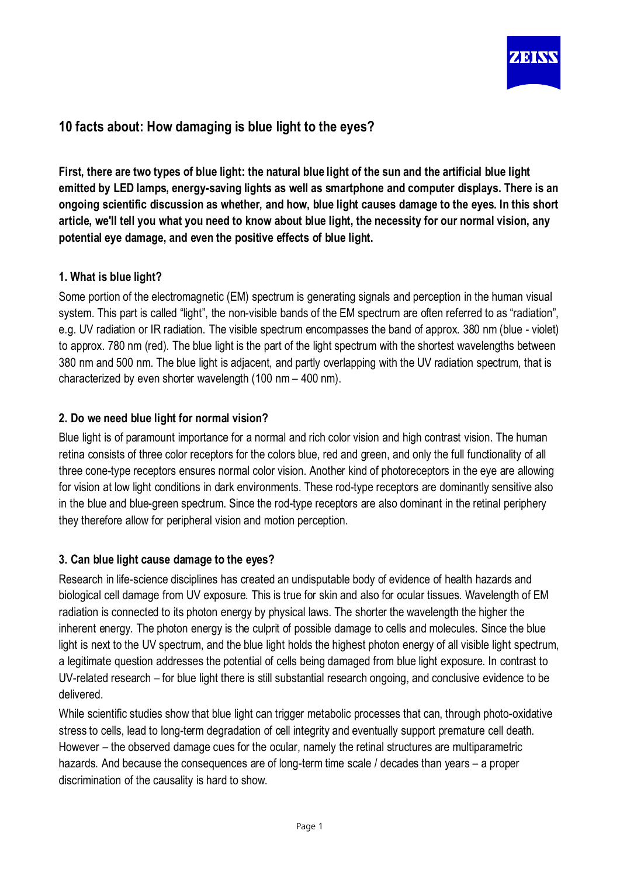

# **10 facts about: How damaging is blue light to the eyes?**

First, there are two types of blue light: the natural blue light of the sun and the artificial blue light **emitted by LED lamps, energy-saving lights as well as smartphone and computer displays. There is an ongoing scientific discussion as whether, and how, blue light causes damage to the eyes. In this short** article, we'll tell you what you need to know about blue light, the necessity for our normal vision, any **potential eye damage, and even the positive effects of blue light.**

## **1. What is blue light?**

Some portion of the electromagnetic (EM) spectrum is generating signals and perception in the human visual system. This part is called "light", the non-visible bands of the EM spectrum are often referred to as "radiation", e.g. UV radiation or IR radiation. The visible spectrum encompasses the band of approx. 380 nm (blue - violet) to approx. 780 nm (red). The blue light is the part of the light spectrum with the shortest wavelengths between 380 nm and 500 nm. The blue light is adiacent, and partly overlapping with the UV radiation spectrum, that is characterized by even shorter wavelength (100 nm – 400 nm).

# **2. Do we need blue light for normal vision?**

Blue light is of paramount importance for a normal and rich color vision and high contrast vision. The human retina consists of three color receptors for the colors blue, red and green, and only the full functionality of all three cone-type receptors ensures normal color vision. Another kind of photoreceptors in the eye are allowing for vision at low light conditions in dark environments. These rod-type receptors are dominantly sensitive also in the blue and blue-green spectrum. Since the rod-type receptors are also dominant in the retinal periphery they therefore allow for peripheral vision and motion perception.

## **3. Can blue light cause damage to the eyes?**

Research in life-science disciplines has created an undisputable body of evidence of health hazards and biological cell damage from UV exposure. This is true for skin and also for ocular tissues. Wavelength of EM radiation is connected to its photon energy by physical laws. The shorter the wavelength the higher the inherent energy. The photon energy is the culprit of possible damage to cells and molecules. Since the blue light is next to the UV spectrum, and the blue light holds the highest photon energy of all visible light spectrum, a legitimate question addresses the potential of cells being damaged from blue light exposure. In contrast to UV-related research – for blue light there is still substantial research ongoing, and conclusive evidence to be delivered.

While scientific studies show that blue light can trigger metabolic processes that can, through photo-oxidative stress to cells, lead to long-term degradation of cell integrity and eventually support premature cell death. However – the observed damage cues for the ocular, namely the retinal structures are multiparametric hazards. And because the consequences are of long-term time scale / decades than years – a proper discrimination of the causality is hard to show.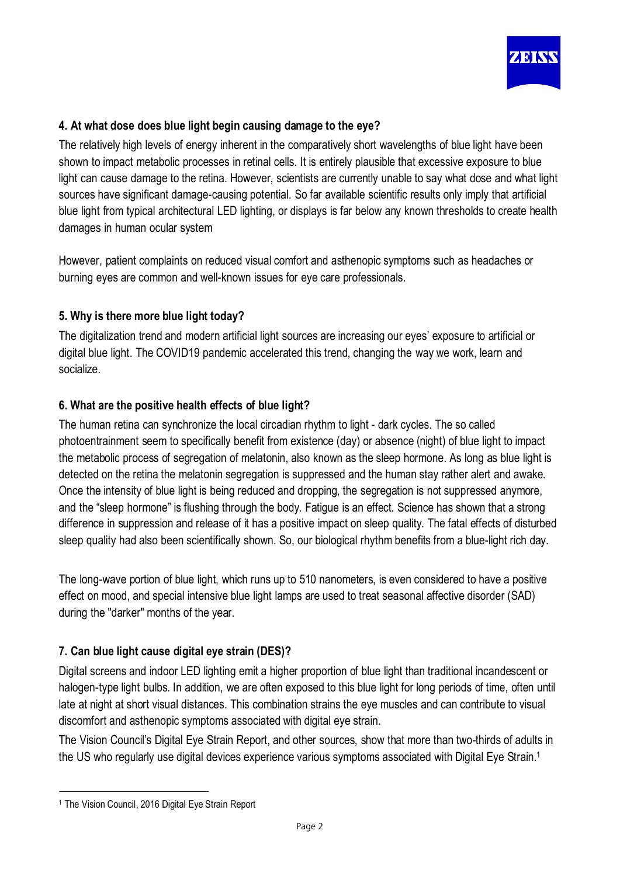

## **4. At what dose does blue light begin causing damage to the eye?**

The relatively high levels of energy inherent in the comparatively short wavelengths of blue light have been shown to impact metabolic processes in retinal cells. It is entirely plausible that excessive exposure to blue light can cause damage to the retina. However, scientists are currently unable to say what dose and what light sources have significant damage-causing potential. So far available scientific results only imply that artificial blue light from typical architectural LED lighting, or displays is far below any known thresholds to create health damages in human ocular system

However, patient complaints on reduced visual comfort and asthenopic symptoms such as headaches or burning eyes are common and well-known issues for eye care professionals.

#### **5. Why is there more blue light today?**

The digitalization trend and modern artificial light sources are increasing our eyes' exposure to artificial or digital blue light. The COVID19 pandemic accelerated this trend, changing the way we work, learn and socialize.

#### **6. What are the positive health effects of blue light?**

The human retina can synchronize the local circadian rhythm to light - dark cycles. The so called photoentrainment seem to specifically benefit from existence (day) or absence (night) of blue light to impact the metabolic process of segregation of melatonin, also known as the sleep hormone. As long as blue light is detected on the retina the melatonin segregation is suppressed and the human stay rather alert and awake. Once the intensity of blue light is being reduced and dropping, the segregation is not suppressed anymore, and the "sleep hormone" is flushing through the body. Fatigue is an effect. Science has shown that a strong difference in suppression and release of it has a positive impact on sleep quality. The fatal effects of disturbed sleep quality had also been scientifically shown. So, our biological rhythm benefits from a blue-light rich day.

The long-wave portion of blue light, which runs up to 510 nanometers, is even considered to have a positive effect on mood, and special intensive blue light lamps are used to treat seasonal affective disorder (SAD) during the "darker" months of the year.

#### **7. Can blue light cause digital eye strain (DES)?**

Digital screens and indoor LED lighting emit a higher proportion of blue light than traditional incandescent or halogen-type light bulbs. In addition, we are often exposed to this blue light for long periods of time, often until late at night at short visual distances. This combination strains the eye muscles and can contribute to visual discomfort and asthenopic symptoms associated with digital eye strain.

The Vision Council's Digital Eye Strain Report, and other sources, show that more than two-thirds of adults in the US who regularly use digital devices experience various symptoms associated with Digital Eye Strain.<sup>1</sup>

<sup>1</sup> The Vision Council, 2016 Digital Eye Strain Report